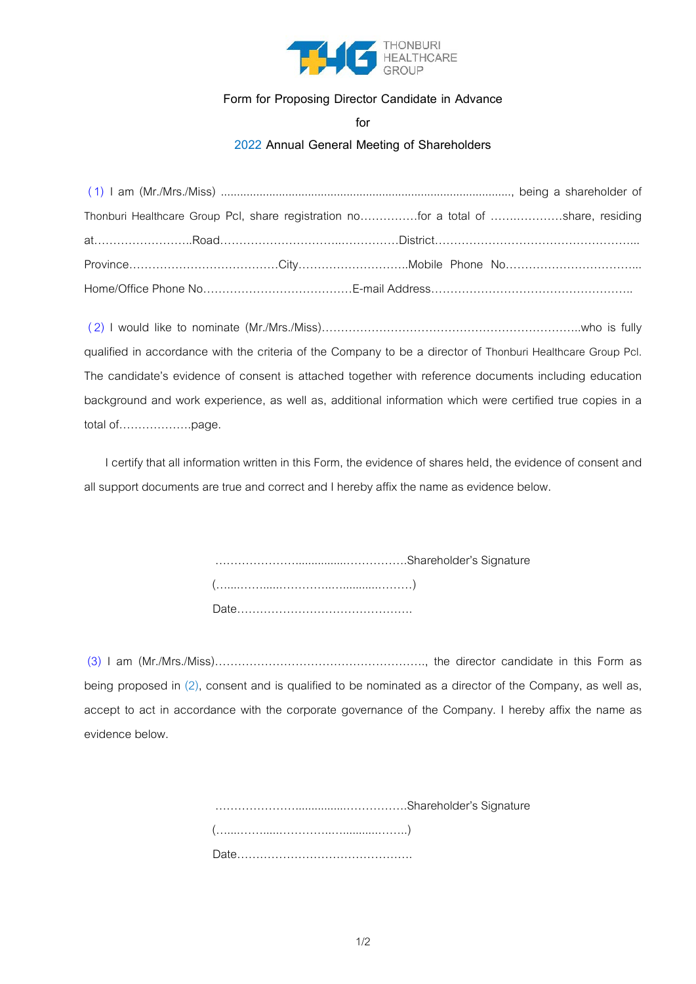

# **Form for Proposing Director Candidate in Advance**

**for**

## **2022 Annual General Meeting of Shareholders**

|  | Thonburi Healthcare Group PcI, share registration nofor a total of share, residing |
|--|------------------------------------------------------------------------------------|
|  |                                                                                    |
|  |                                                                                    |
|  |                                                                                    |

(2) I would like to nominate (Mr./Mrs./Miss)…………………………………………………………..who is fully qualified in accordance with the criteria of the Company to be a director of Thonburi Healthcare Group Pcl. The candidate's evidence of consent is attached together with reference documents including education background and work experience, as well as, additional information which were certified true copies in a total of……………….page.

I certify that all information written in this Form, the evidence of shares held, the evidence of consent and all support documents are true and correct and I hereby affix the name as evidence below.

> …………………................…………….Shareholder's Signature (…....…….....…………..…...........………) Date……………………………………….

(3) I am (Mr./Mrs./Miss)………………………………………………., the director candidate in this Form as being proposed in (2), consent and is qualified to be nominated as a director of the Company, as well as, accept to act in accordance with the corporate governance of the Company. I hereby affix the name as evidence below.